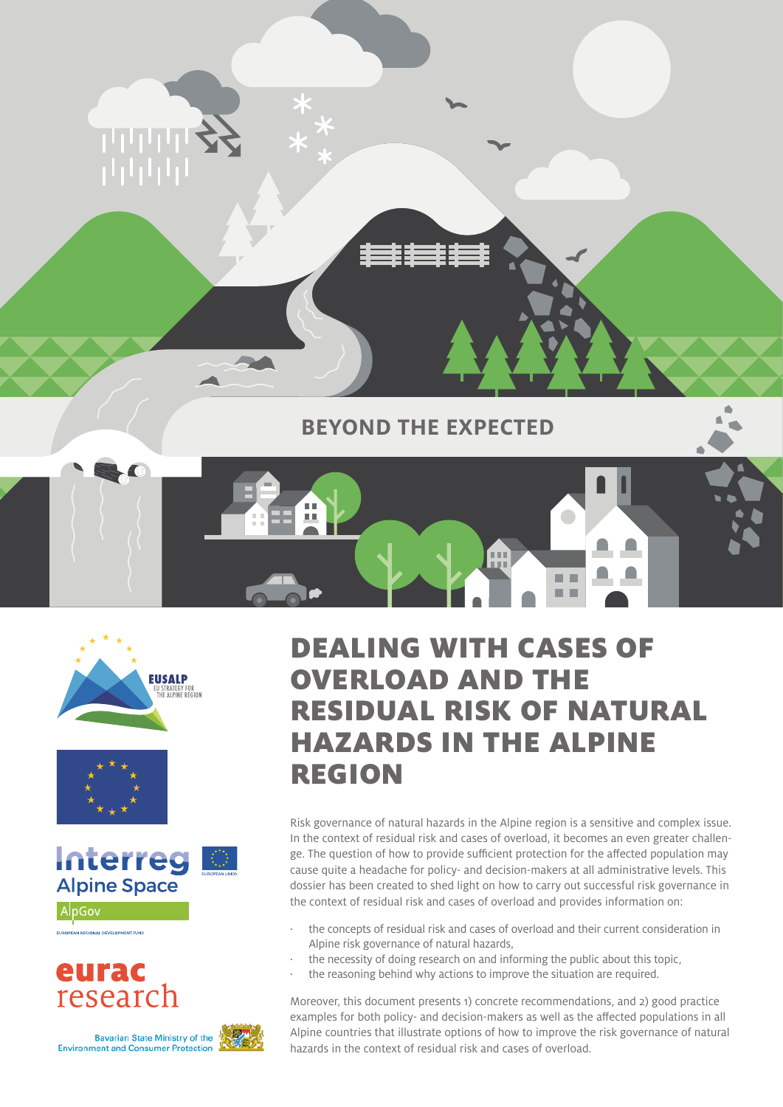

**BEYOND THE EXPECTED**







AlpGov

#### eurac research

**Bavarian State Ministry of the Environment and Consumer Protection** 



## DEALING WITH CASES OF OVERLOAD AND THE RESIDUAL RISK OF NATURAL HAZARDS IN THE ALPINE REGION

■■ 医阴道

Risk governance of natural hazards in the Alpine region is a sensitive and complex issue. In the context of residual risk and cases of overload, it becomes an even greater challenge. The question of how to provide sufficient protection for the affected population may cause quite a headache for policy- and decision-makers at all administrative levels. This dossier has been created to shed light on how to carry out successful risk governance in the context of residual risk and cases of overload and provides information on:

- · the concepts of residual risk and cases of overload and their current consideration in Alpine risk governance of natural hazards,
	- the necessity of doing research on and informing the public about this topic,
- the reasoning behind why actions to improve the situation are required.

Moreover, this document presents 1) concrete recommendations, and 2) good practice examples for both policy- and decision-makers as well as the affected populations in all Alpine countries that illustrate options of how to improve the risk governance of natural hazards in the context of residual risk and cases of overload.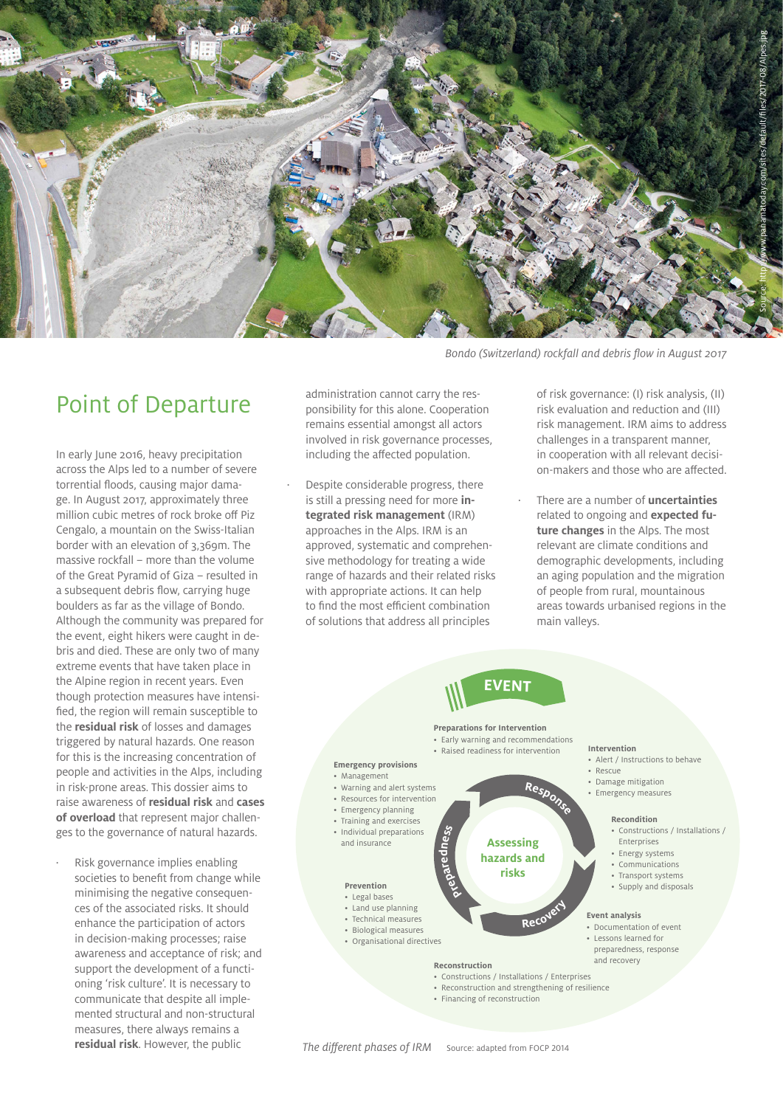

*Bondo (Switzerland) rockfall and debris flow in August 2017*

#### Point of Departure

In early June 2016, heavy precipitation across the Alps led to a number of severe torrential floods, causing major damage. In August 2017, approximately three million cubic metres of rock broke off Piz Cengalo, a mountain on the Swiss-Italian border with an elevation of 3,369m. The massive rockfall – more than the volume of the Great Pyramid of Giza – resulted in a subsequent debris flow, carrying huge boulders as far as the village of Bondo. Although the community was prepared for the event, eight hikers were caught in debris and died. These are only two of many extreme events that have taken place in the Alpine region in recent years. Even though protection measures have intensified, the region will remain susceptible to the **residual risk** of losses and damages triggered by natural hazards. One reason for this is the increasing concentration of people and activities in the Alps, including in risk-prone areas. This dossier aims to raise awareness of **residual risk** and **cases of overload** that represent major challenges to the governance of natural hazards.

Risk governance implies enabling societies to benefit from change while minimising the negative consequences of the associated risks. It should enhance the participation of actors in decision-making processes; raise awareness and acceptance of risk; and support the development of a functioning 'risk culture'. It is necessary to communicate that despite all implemented structural and non-structural measures, there always remains a **residual risk**. However, the public

administration cannot carry the responsibility for this alone. Cooperation remains essential amongst all actors involved in risk governance processes, including the affected population.

Despite considerable progress, there is still a pressing need for more **integrated risk management** (IRM) approaches in the Alps. IRM is an approved, systematic and comprehensive methodology for treating a wide range of hazards and their related risks with appropriate actions. It can help to find the most efficient combination of solutions that address all principles

of risk governance: (I) risk analysis, (II) risk evaluation and reduction and (III) risk management. IRM aims to address challenges in a transparent manner, in cooperation with all relevant decision-makers and those who are affected.

· There are a number of **uncertainties**  related to ongoing and **expected future changes** in the Alps. The most relevant are climate conditions and demographic developments, including an aging population and the migration of people from rural, mountainous areas towards urbanised regions in the main valleys.

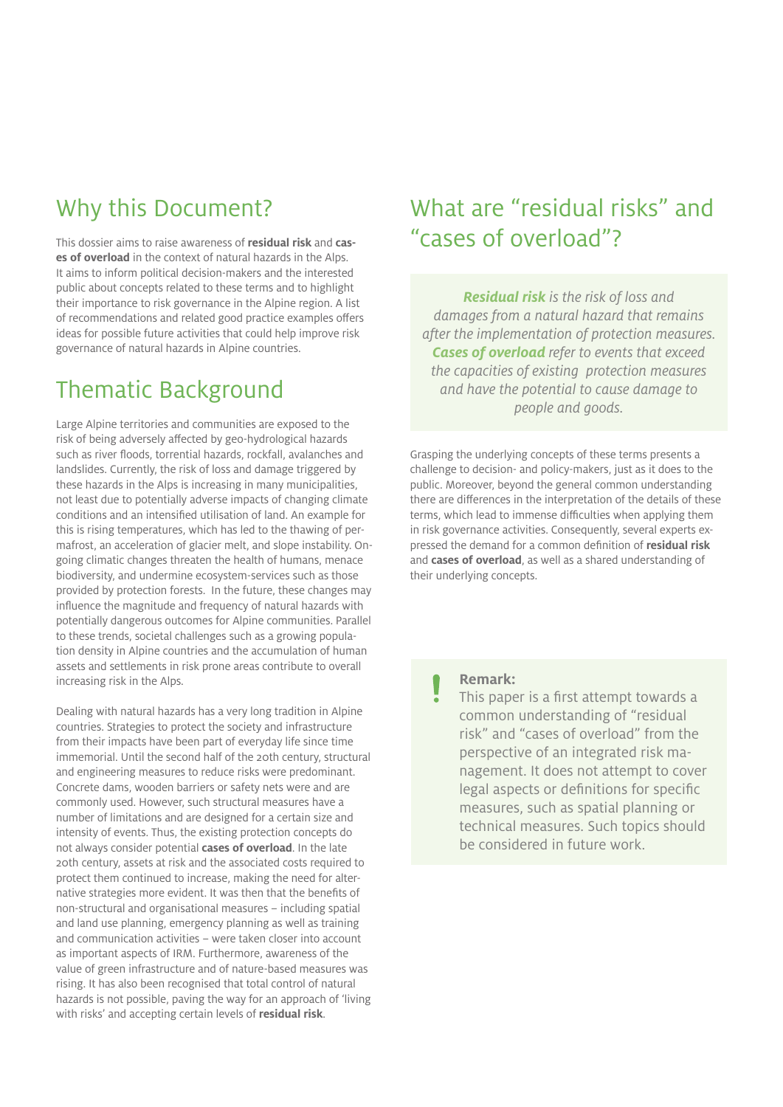#### Why this Document?

This dossier aims to raise awareness of **residual risk** and **cases of overload** in the context of natural hazards in the Alps. It aims to inform political decision-makers and the interested public about concepts related to these terms and to highlight their importance to risk governance in the Alpine region. A list of recommendations and related good practice examples offers ideas for possible future activities that could help improve risk governance of natural hazards in Alpine countries.

#### Thematic Background

Large Alpine territories and communities are exposed to the risk of being adversely affected by geo-hydrological hazards such as river floods, torrential hazards, rockfall, avalanches and landslides. Currently, the risk of loss and damage triggered by these hazards in the Alps is increasing in many municipalities, not least due to potentially adverse impacts of changing climate conditions and an intensified utilisation of land. An example for this is rising temperatures, which has led to the thawing of permafrost, an acceleration of glacier melt, and slope instability. Ongoing climatic changes threaten the health of humans, menace biodiversity, and undermine ecosystem-services such as those provided by protection forests. In the future, these changes may influence the magnitude and frequency of natural hazards with potentially dangerous outcomes for Alpine communities. Parallel to these trends, societal challenges such as a growing population density in Alpine countries and the accumulation of human assets and settlements in risk prone areas contribute to overall increasing risk in the Alps.

Dealing with natural hazards has a very long tradition in Alpine countries. Strategies to protect the society and infrastructure from their impacts have been part of everyday life since time immemorial. Until the second half of the 20th century, structural and engineering measures to reduce risks were predominant. Concrete dams, wooden barriers or safety nets were and are commonly used. However, such structural measures have a number of limitations and are designed for a certain size and intensity of events. Thus, the existing protection concepts do not always consider potential **cases of overload**. In the late 20th century, assets at risk and the associated costs required to protect them continued to increase, making the need for alternative strategies more evident. It was then that the benefits of non-structural and organisational measures – including spatial and land use planning, emergency planning as well as training and communication activities – were taken closer into account as important aspects of IRM. Furthermore, awareness of the value of green infrastructure and of nature-based measures was rising. It has also been recognised that total control of natural hazards is not possible, paving the way for an approach of 'living with risks' and accepting certain levels of **residual risk**.

#### What are "residual risks" and "cases of overload"?

*Residual risk is the risk of loss and damages from a natural hazard that remains after the implementation of protection measures. Cases of overload refer to events that exceed the capacities of existing protection measures and have the potential to cause damage to people and goods.* 

Grasping the underlying concepts of these terms presents a challenge to decision- and policy-makers, just as it does to the public. Moreover, beyond the general common understanding there are differences in the interpretation of the details of these terms, which lead to immense difficulties when applying them in risk governance activities. Consequently, several experts expressed the demand for a common definition of **residual risk** and **cases of overload**, as well as a shared understanding of their underlying concepts.

#### **Remark:**

This paper is a first attempt towards a common understanding of "residual risk" and "cases of overload" from the perspective of an integrated risk management. It does not attempt to cover legal aspects or definitions for specific measures, such as spatial planning or technical measures. Such topics should be considered in future work.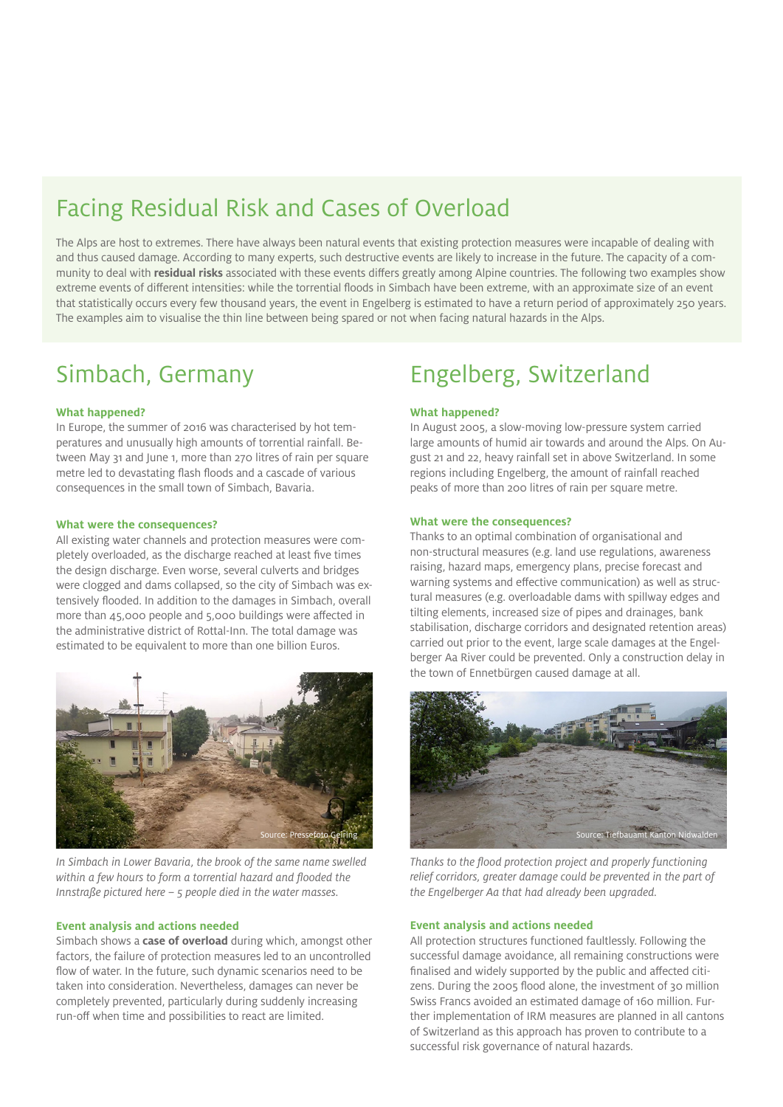### Facing Residual Risk and Cases of Overload

The Alps are host to extremes. There have always been natural events that existing protection measures were incapable of dealing with and thus caused damage. According to many experts, such destructive events are likely to increase in the future. The capacity of a community to deal with **residual risks** associated with these events differs greatly among Alpine countries. The following two examples show extreme events of different intensities: while the torrential floods in Simbach have been extreme, with an approximate size of an event that statistically occurs every few thousand years, the event in Engelberg is estimated to have a return period of approximately 250 years. The examples aim to visualise the thin line between being spared or not when facing natural hazards in the Alps.

### Simbach, Germany

#### **What happened?**

In Europe, the summer of 2016 was characterised by hot temperatures and unusually high amounts of torrential rainfall. Between May 31 and June 1, more than 270 litres of rain per square metre led to devastating flash floods and a cascade of various consequences in the small town of Simbach, Bavaria.

#### **What were the consequences?**

All existing water channels and protection measures were completely overloaded, as the discharge reached at least five times the design discharge. Even worse, several culverts and bridges were clogged and dams collapsed, so the city of Simbach was extensively flooded. In addition to the damages in Simbach, overall more than 45,000 people and 5,000 buildings were affected in the administrative district of Rottal-Inn. The total damage was estimated to be equivalent to more than one billion Euros.



*In Simbach in Lower Bavaria, the brook of the same name swelled within a few hours to form a torrential hazard and flooded the Innstraße pictured here – 5 people died in the water masses.*

#### **Event analysis and actions needed**

Simbach shows a **case of overload** during which, amongst other factors, the failure of protection measures led to an uncontrolled flow of water. In the future, such dynamic scenarios need to be taken into consideration. Nevertheless, damages can never be completely prevented, particularly during suddenly increasing run-off when time and possibilities to react are limited.

#### Engelberg, Switzerland

#### **What happened?**

In August 2005, a slow-moving low-pressure system carried large amounts of humid air towards and around the Alps. On August 21 and 22, heavy rainfall set in above Switzerland. In some regions including Engelberg, the amount of rainfall reached peaks of more than 200 litres of rain per square metre.

#### **What were the consequences?**

Thanks to an optimal combination of organisational and non-structural measures (e.g. land use regulations, awareness raising, hazard maps, emergency plans, precise forecast and warning systems and effective communication) as well as structural measures (e.g. overloadable dams with spillway edges and tilting elements, increased size of pipes and drainages, bank stabilisation, discharge corridors and designated retention areas) carried out prior to the event, large scale damages at the Engelberger Aa River could be prevented. Only a construction delay in the town of Ennetbürgen caused damage at all.



*Thanks to the flood protection project and properly functioning relief corridors, greater damage could be prevented in the part of the Engelberger Aa that had already been upgraded.*

#### **Event analysis and actions needed**

All protection structures functioned faultlessly. Following the successful damage avoidance, all remaining constructions were finalised and widely supported by the public and affected citizens. During the 2005 flood alone, the investment of 30 million Swiss Francs avoided an estimated damage of 160 million. Further implementation of IRM measures are planned in all cantons of Switzerland as this approach has proven to contribute to a successful risk governance of natural hazards.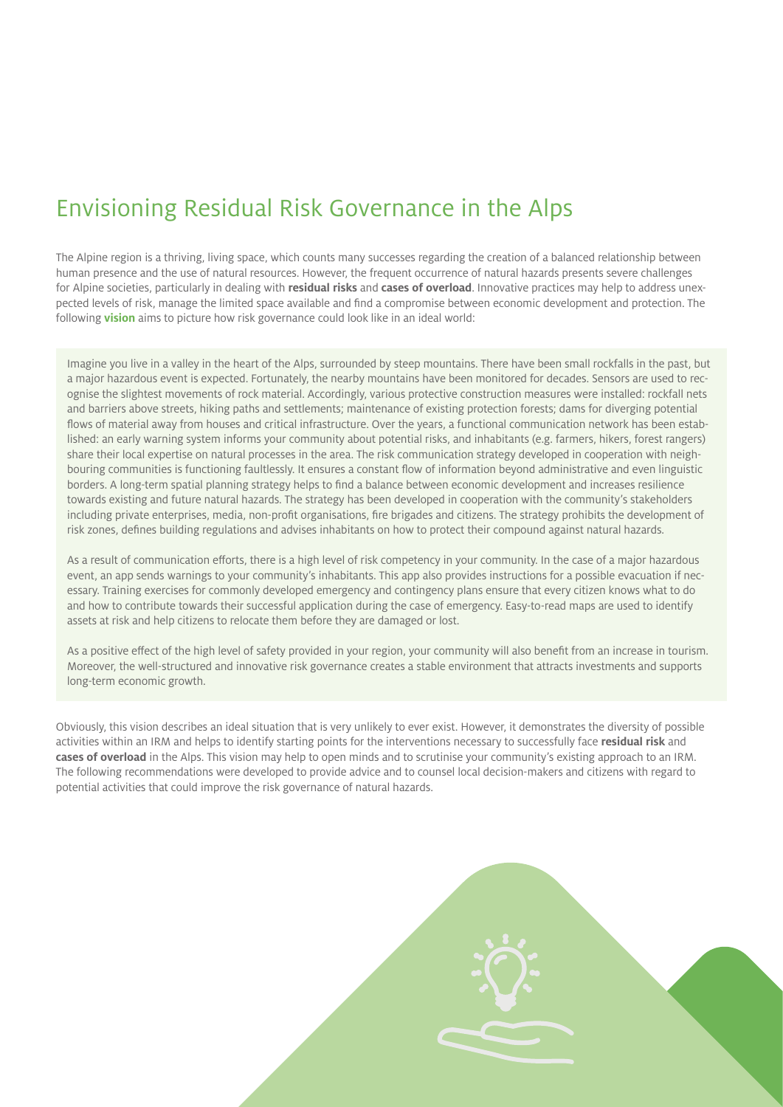## Envisioning Residual Risk Governance in the Alps

The Alpine region is a thriving, living space, which counts many successes regarding the creation of a balanced relationship between human presence and the use of natural resources. However, the frequent occurrence of natural hazards presents severe challenges for Alpine societies, particularly in dealing with **residual risks** and **cases of overload**. Innovative practices may help to address unexpected levels of risk, manage the limited space available and find a compromise between economic development and protection. The following **vision** aims to picture how risk governance could look like in an ideal world:

Imagine you live in a valley in the heart of the Alps, surrounded by steep mountains. There have been small rockfalls in the past, but a major hazardous event is expected. Fortunately, the nearby mountains have been monitored for decades. Sensors are used to recognise the slightest movements of rock material. Accordingly, various protective construction measures were installed: rockfall nets and barriers above streets, hiking paths and settlements; maintenance of existing protection forests; dams for diverging potential flows of material away from houses and critical infrastructure. Over the years, a functional communication network has been established: an early warning system informs your community about potential risks, and inhabitants (e.g. farmers, hikers, forest rangers) share their local expertise on natural processes in the area. The risk communication strategy developed in cooperation with neighbouring communities is functioning faultlessly. It ensures a constant flow of information beyond administrative and even linguistic borders. A long-term spatial planning strategy helps to find a balance between economic development and increases resilience towards existing and future natural hazards. The strategy has been developed in cooperation with the community's stakeholders including private enterprises, media, non-profit organisations, fire brigades and citizens. The strategy prohibits the development of risk zones, defines building regulations and advises inhabitants on how to protect their compound against natural hazards.

As a result of communication efforts, there is a high level of risk competency in your community. In the case of a major hazardous event, an app sends warnings to your community's inhabitants. This app also provides instructions for a possible evacuation if necessary. Training exercises for commonly developed emergency and contingency plans ensure that every citizen knows what to do and how to contribute towards their successful application during the case of emergency. Easy-to-read maps are used to identify assets at risk and help citizens to relocate them before they are damaged or lost.

As a positive effect of the high level of safety provided in your region, your community will also benefit from an increase in tourism. Moreover, the well-structured and innovative risk governance creates a stable environment that attracts investments and supports long-term economic growth.

Obviously, this vision describes an ideal situation that is very unlikely to ever exist. However, it demonstrates the diversity of possible activities within an IRM and helps to identify starting points for the interventions necessary to successfully face **residual risk** and **cases of overload** in the Alps. This vision may help to open minds and to scrutinise your community's existing approach to an IRM. The following recommendations were developed to provide advice and to counsel local decision-makers and citizens with regard to potential activities that could improve the risk governance of natural hazards.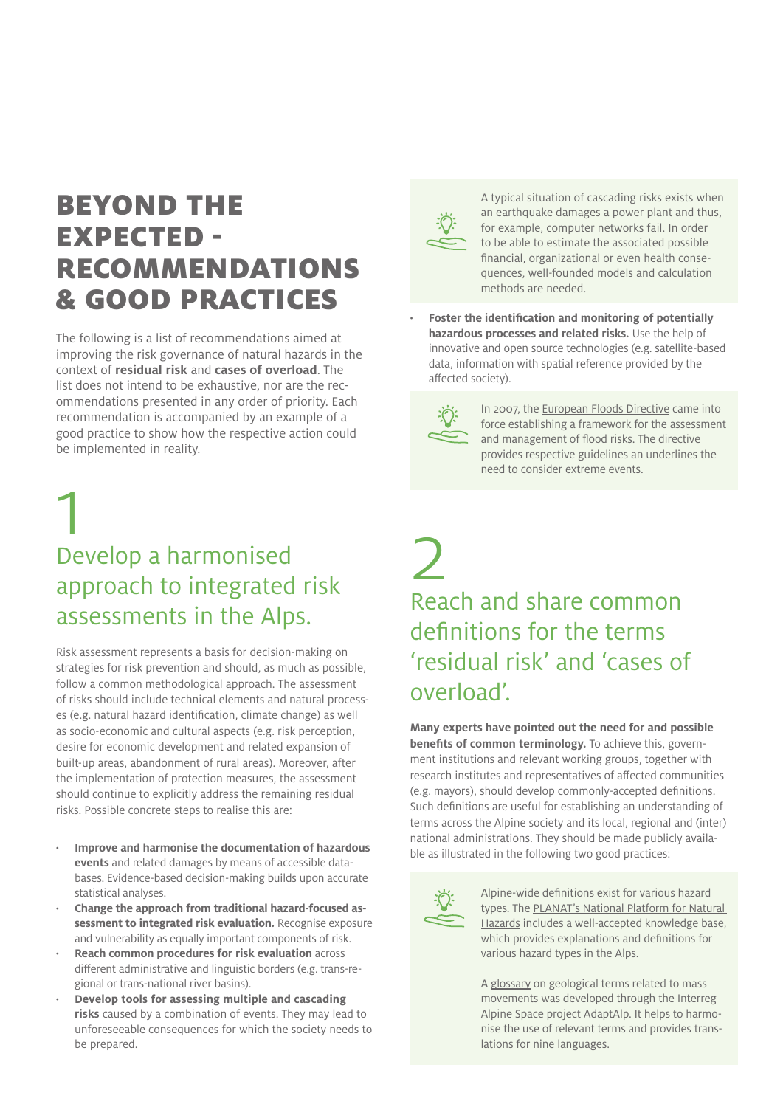## BEYOND THE EXPECTED - RECOMMENDATIONS & GOOD PRACTICES

The following is a list of recommendations aimed at improving the risk governance of natural hazards in the context of **residual risk** and **cases of overload**. The list does not intend to be exhaustive, nor are the recommendations presented in any order of priority. Each recommendation is accompanied by an example of a good practice to show how the respective action could be implemented in reality.

# 1 Develop a harmonised approach to integrated risk assessments in the Alps.

Risk assessment represents a basis for decision-making on strategies for risk prevention and should, as much as possible, follow a common methodological approach. The assessment of risks should include technical elements and natural processes (e.g. natural hazard identification, climate change) as well as socio-economic and cultural aspects (e.g. risk perception, desire for economic development and related expansion of built-up areas, abandonment of rural areas). Moreover, after the implementation of protection measures, the assessment should continue to explicitly address the remaining residual risks. Possible concrete steps to realise this are:

- **· Improve and harmonise the documentation of hazardous events** and related damages by means of accessible databases. Evidence-based decision-making builds upon accurate statistical analyses.
- **· Change the approach from traditional hazard-focused assessment to integrated risk evaluation.** Recognise exposure and vulnerability as equally important components of risk.
- **· Reach common procedures for risk evaluation** across different administrative and linguistic borders (e.g. trans-regional or trans-national river basins).
- **· Develop tools for assessing multiple and cascading risks** caused by a combination of events. They may lead to unforeseeable consequences for which the society needs to be prepared.



A typical situation of cascading risks exists when an earthquake damages a power plant and thus, for example, computer networks fail. In order to be able to estimate the associated possible financial, organizational or even health consequences, well-founded models and calculation methods are needed.

**· Foster the identification and monitoring of potentially hazardous processes and related risks.** Use the help of innovative and open source technologies (e.g. satellite-based data, information with spatial reference provided by the affected society).



In 2007, the [European Floods Directive](http://eur-lex.europa.eu/legal-content/EN/TXT/PDF/?uri=CELEX:32007L0060&from=EN) came into force establishing a framework for the assessment and management of flood risks. The directive provides respective guidelines an underlines the need to consider extreme events.

## 2 Reach and share common definitions for the terms 'residual risk' and 'cases of overload'.

**Many experts have pointed out the need for and possible benefits of common terminology.** To achieve this, government institutions and relevant working groups, together with research institutes and representatives of affected communities (e.g. mayors), should develop commonly-accepted definitions. Such definitions are useful for establishing an understanding of terms across the Alpine society and its local, regional and (inter) national administrations. They should be made publicly available as illustrated in the following two good practices:



Alpine-wide definitions exist for various hazard types. [The PLANAT's National Platform for Natural](http://www.planat.ch/en/knowledge-base/)  [Hazards](http://www.planat.ch/en/knowledge-base/) includes a well-accepted knowledge base, which provides explanations and definitions for various hazard types in the Alps.

A [glossary](https://www.lfu.bayern.de/geologie/massenbewegungen/glossar/index.htm) on geological terms related to mass movements was developed through the Interreg Alpine Space project AdaptAlp. It helps to harmonise the use of relevant terms and provides translations for nine languages.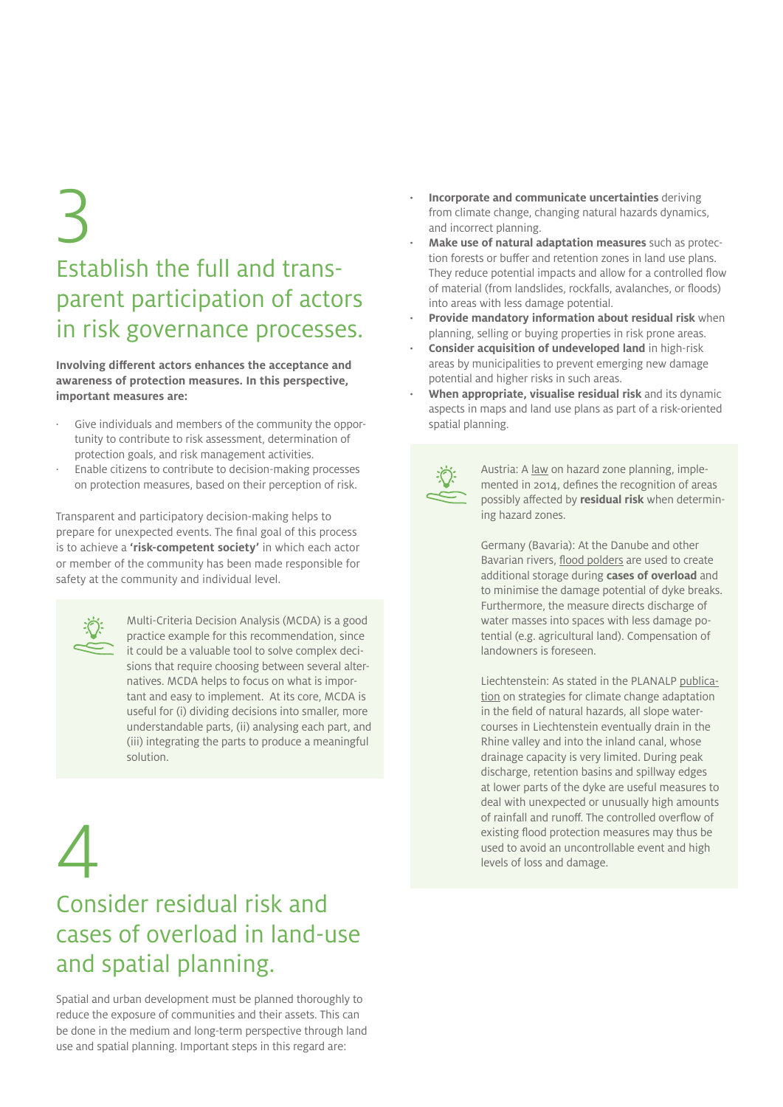# 3 Establish the full and transparent participation of actors in risk governance processes.

**Involving different actors enhances the acceptance and awareness of protection measures. In this perspective, important measures are:**

- Give individuals and members of the community the opportunity to contribute to risk assessment, determination of protection goals, and risk management activities.
- Enable citizens to contribute to decision-making processes on protection measures, based on their perception of risk.

Transparent and participatory decision-making helps to prepare for unexpected events. The final goal of this process is to achieve a **'risk-competent society'** in which each actor or member of the community has been made responsible for safety at the community and individual level.



Multi-Criteria Decision Analysis (MCDA) is a good practice example for this recommendation, since it could be a valuable tool to solve complex decisions that require choosing between several alternatives. MCDA helps to focus on what is important and easy to implement. At its core, MCDA is useful for (i) dividing decisions into smaller, more understandable parts, (ii) analysing each part, and (iii) integrating the parts to produce a meaningful solution.

# 4

## Consider residual risk and cases of overload in land-use and spatial planning.

Spatial and urban development must be planned thoroughly to reduce the exposure of communities and their assets. This can be done in the medium and long-term perspective through land use and spatial planning. Important steps in this regard are:

- **· Incorporate and communicate uncertainties** deriving from climate change, changing natural hazards dynamics, and incorrect planning.
- **· Make use of natural adaptation measures** such as protection forests or buffer and retention zones in land use plans. They reduce potential impacts and allow for a controlled flow of material (from landslides, rockfalls, avalanches, or floods) into areas with less damage potential.
- **· Provide mandatory information about residual risk** when planning, selling or buying properties in risk prone areas.
- **· Consider acquisition of undeveloped land** in high-risk areas by municipalities to prevent emerging new damage potential and higher risks in such areas.
- **· When appropriate, visualise residual risk** and its dynamic aspects in maps and land use plans as part of a risk-oriented spatial planning.



Austria: A [law](https://www.ris.bka.gv.at/Dokumente/BgblAuth/BGBLA_2014_II_145/BGBLA_2014_II_145.pdfsig) on hazard zone planning, implemented in 2014, defines the recognition of areas possibly affected by **residual risk** when determining hazard zones.

Germany (Bavaria): At the Danube and other Bavarian rivers, [flood polders](https://www.bestellen.bayern.de/application/applstarter?APPL=eshop&DIR=eshop&ACTIONxSETVAL(artdtl.htm,APGxNODENR:84,AARTxNR:stmuv_wasser_004,AARTxNODENR:338020,USERxBODYURL:artdtl.htm,KATALOG:StMUG,AKATxNAME:StMUG,ALLE:x)=X) are used to create additional storage during **cases of overload** and to minimise the damage potential of dyke breaks. Furthermore, the measure directs discharge of water masses into spaces with less damage potential (e.g. agricultural land). Compensation of landowners is foreseen.

Liechtenstein: As stated in the PLANALP [publica](http://www.alpconv.org/it/organization/groups/WGHazards/Documents/PLANALP_Alpine_strategy.pdf?AspxAutoDetectCookieSupport=1)[tion](http://www.alpconv.org/it/organization/groups/WGHazards/Documents/PLANALP_Alpine_strategy.pdf?AspxAutoDetectCookieSupport=1) on strategies for climate change adaptation in the field of natural hazards, all slope watercourses in Liechtenstein eventually drain in the Rhine valley and into the inland canal, whose drainage capacity is very limited. During peak discharge, retention basins and spillway edges at lower parts of the dyke are useful measures to deal with unexpected or unusually high amounts of rainfall and runoff. The controlled overflow of existing flood protection measures may thus be used to avoid an uncontrollable event and high levels of loss and damage.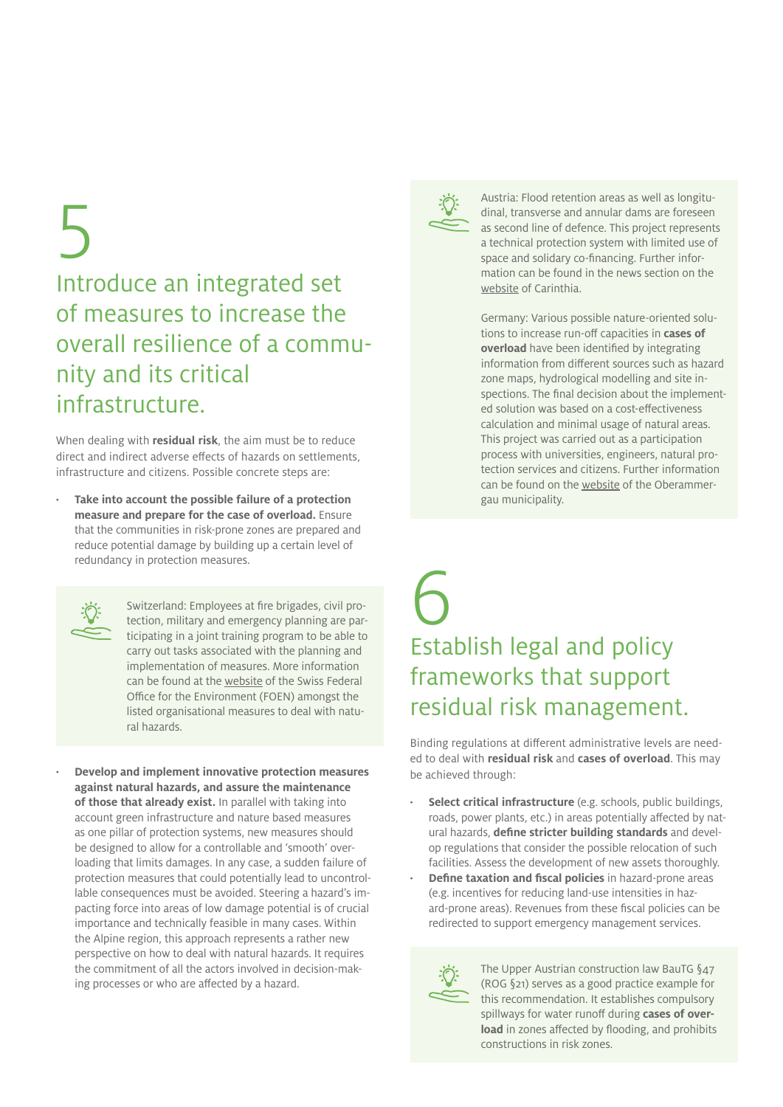# 5 Introduce an integrated set of measures to increase the overall resilience of a community and its critical infrastructure.

When dealing with **residual risk**, the aim must be to reduce direct and indirect adverse effects of hazards on settlements, infrastructure and citizens. Possible concrete steps are:

**· Take into account the possible failure of a protection measure and prepare for the case of overload.** Ensure that the communities in risk-prone zones are prepared and reduce potential damage by building up a certain level of redundancy in protection measures.



Switzerland: Employees at fire brigades, civil protection, military and emergency planning are participating in a joint training program to be able to carry out tasks associated with the planning and implementation of measures. More information can be found at the [website](https://www.bafu.admin.ch/bafu/de/home/themen/klima/fachinformationen/anpassung-an-den-klimawandel/pilotprogramm-anpassung-an-den-klimawandel/pilotprojekte-zur-anpassung-an-den-klimawandel--cluster--umgang-0/pilotprojekt-zur-anpassung-an-den-klimawandel--ausbildung-der-ei.html) of the Swiss Federal Office for the Environment (FOEN) amongst the listed organisational measures to deal with natural hazards.

**· Develop and implement innovative protection measures against natural hazards, and assure the maintenance of those that already exist.** In parallel with taking into account green infrastructure and nature based measures as one pillar of protection systems, new measures should be designed to allow for a controllable and 'smooth' overloading that limits damages. In any case, a sudden failure of protection measures that could potentially lead to uncontrollable consequences must be avoided. Steering a hazard's impacting force into areas of low damage potential is of crucial importance and technically feasible in many cases. Within the Alpine region, this approach represents a rather new perspective on how to deal with natural hazards. It requires the commitment of all the actors involved in decision-making processes or who are affected by a hazard.



Austria: Flood retention areas as well as longitudinal, transverse and annular dams are foreseen as second line of defence. This project represents a technical protection system with limited use of space and solidary co-financing. Further information can be found in the news section on the [website](https://www.ktn.gv.at/DE/sitemap/KTN/Service/News?nid=27321) of Carinthia.

Germany: Various possible nature-oriented solutions to increase run-off capacities in **cases of overload** have been identified by integrating information from different sources such as hazard zone maps, hydrological modelling and site inspections. The final decision about the implemented solution was based on a cost-effectiveness calculation and minimal usage of natural areas. This project was carried out as a participation process with universities, engineers, natural protection services and citizens. Further information can be found on the [website](http://www.gemeinde-oberammergau.de/de/aktuelles/hochwasserschutz) of the Oberammergau municipality.

# 6 Establish legal and policy frameworks that support residual risk management.

Binding regulations at different administrative levels are needed to deal with **residual risk** and **cases of overload**. This may be achieved through:

- **· Select critical infrastructure** (e.g. schools, public buildings, roads, power plants, etc.) in areas potentially affected by natural hazards, **define stricter building standards** and develop regulations that consider the possible relocation of such facilities. Assess the development of new assets thoroughly.
- **· Define taxation and fiscal policies** in hazard-prone areas (e.g. incentives for reducing land-use intensities in hazard-prone areas). Revenues from these fiscal policies can be redirected to support emergency management services.



The Upper Austrian construction law BauTG §47 (ROG §21) serves as a good practice example for this recommendation. It establishes compulsory spillways for water runoff during **cases of overload** in zones affected by flooding, and prohibits constructions in risk zones.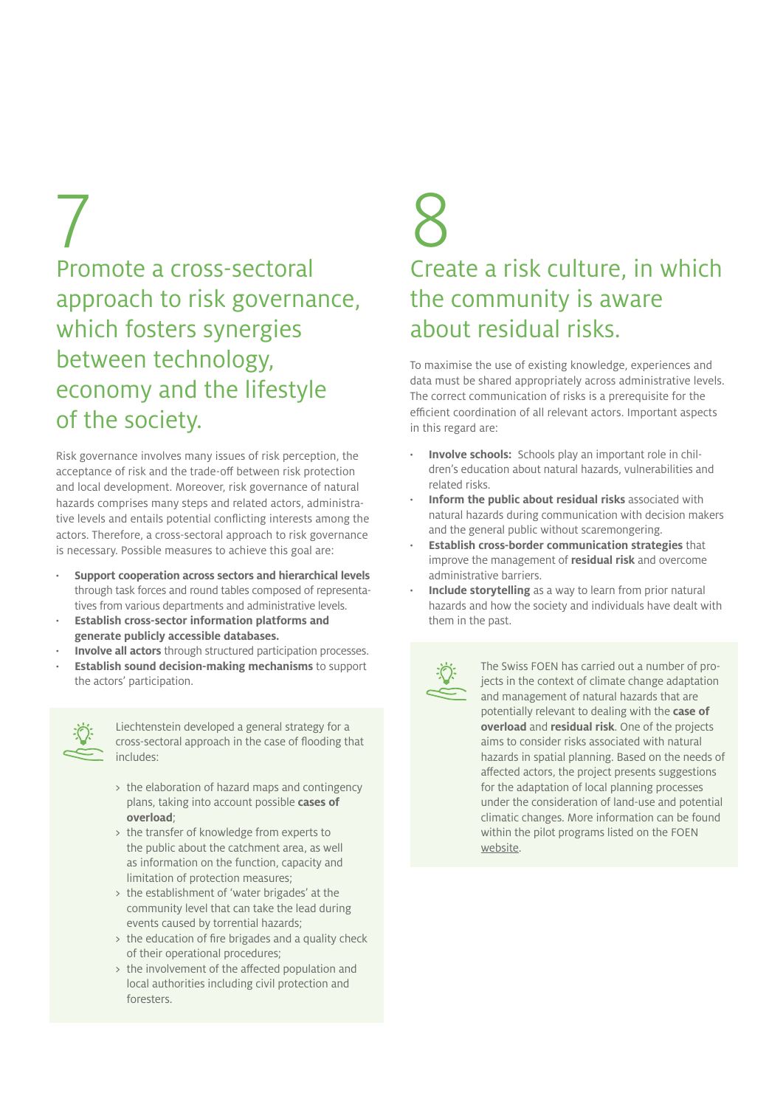## 7 Promote a cross-sectoral approach to risk governance, which fosters synergies between technology, economy and the lifestyle of the society.

Risk governance involves many issues of risk perception, the acceptance of risk and the trade-off between risk protection and local development. Moreover, risk governance of natural hazards comprises many steps and related actors, administrative levels and entails potential conflicting interests among the actors. Therefore, a cross-sectoral approach to risk governance is necessary. Possible measures to achieve this goal are:

- **· Support cooperation across sectors and hierarchical levels**  through task forces and round tables composed of representatives from various departments and administrative levels.
- **· Establish cross-sector information platforms and generate publicly accessible databases.**
- **· Involve all actors** through structured participation processes.
- **· Establish sound decision-making mechanisms** to support the actors' participation.



Liechtenstein developed a general strategy for a cross-sectoral approach in the case of flooding that includes:

- > the elaboration of hazard maps and contingency plans, taking into account possible **cases of overload**;
- > the transfer of knowledge from experts to the public about the catchment area, as well as information on the function, capacity and limitation of protection measures;
- > the establishment of 'water brigades' at the community level that can take the lead during events caused by torrential hazards;
- > the education of fire brigades and a quality check of their operational procedures;
- > the involvement of the affected population and local authorities including civil protection and foresters.

# 8 Create a risk culture, in which the community is aware about residual risks.

To maximise the use of existing knowledge, experiences and data must be shared appropriately across administrative levels. The correct communication of risks is a prerequisite for the efficient coordination of all relevant actors. Important aspects in this regard are:

- **· Involve schools:** Schools play an important role in children's education about natural hazards, vulnerabilities and related risks.
- **· Inform the public about residual risks** associated with natural hazards during communication with decision makers and the general public without scaremongering.
- **· Establish cross-border communication strategies** that improve the management of **residual risk** and overcome administrative barriers.
- **· Include storytelling** as a way to learn from prior natural hazards and how the society and individuals have dealt with them in the past.



The Swiss FOEN has carried out a number of projects in the context of climate change adaptation and management of natural hazards that are potentially relevant to dealing with the **case of overload** and **residual risk**. One of the projects aims to consider risks associated with natural hazards in spatial planning. Based on the needs of affected actors, the project presents suggestions for the adaptation of local planning processes under the consideration of land-use and potential climatic changes. More information can be found within the pilot programs listed on the FOEN [website.](https://www.bafu.admin.ch/bafu/de/home/themen/klima/fachinformationen/anpassung-an-den-klimawandel/pilotprogramm-anpassung-an-den-klimawandel/pilotprojekte-zur-anpassung-an-den-klimawandel--cluster--umgang-0/pilotprojekt-zur-anpassung-an-den-klimawandel--risikobasierte-pl.html)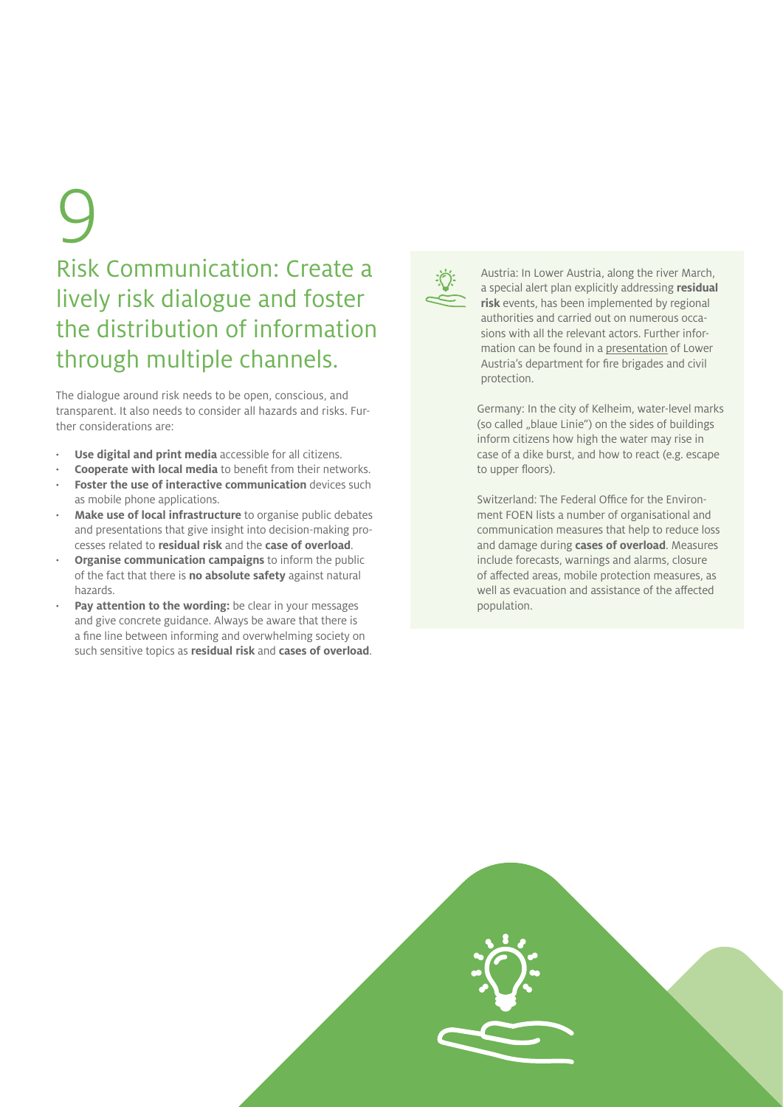# 9

## Risk Communication: Create a lively risk dialogue and foster the distribution of information through multiple channels.

The dialogue around risk needs to be open, conscious, and transparent. It also needs to consider all hazards and risks. Further considerations are:

- **· Use digital and print media** accessible for all citizens.
- **· Cooperate with local media** to benefit from their networks.
- **Foster the use of interactive communication** devices such as mobile phone applications.
- **· Make use of local infrastructure** to organise public debates and presentations that give insight into decision-making processes related to **residual risk** and the **case of overload**.
- **· Organise communication campaigns** to inform the public of the fact that there is **no absolute safety** against natural hazards.
- **Pay attention to the wording:** be clear in your messages and give concrete guidance. Always be aware that there is a fine line between informing and overwhelming society on such sensitive topics as **residual risk** and **cases of overload**.



Austria: In Lower Austria, along the river March, a special alert plan explicitly addressing **residual risk** events, has been implemented by regional authorities and carried out on numerous occasions with all the relevant actors. Further information can be found in a [presentation](http://www.noe.gv.at/noe/Katastrophenschutz/2010_09_24_Kreuzer_Sonderalarmplan_Hochwasser_PDF.pdf) of Lower Austria's department for fire brigades and civil protection.

Germany: In the city of Kelheim, water-level marks (so called "blaue Linie") on the sides of buildings inform citizens how high the water may rise in case of a dike burst, and how to react (e.g. escape to upper floors).

Switzerland: The Federal Office for the Environment FOEN lists a number of organisational and communication measures that help to reduce loss and damage during **cases of overload**. Measures include forecasts, warnings and alarms, closure of affected areas, mobile protection measures, as well as evacuation and assistance of the affected population.

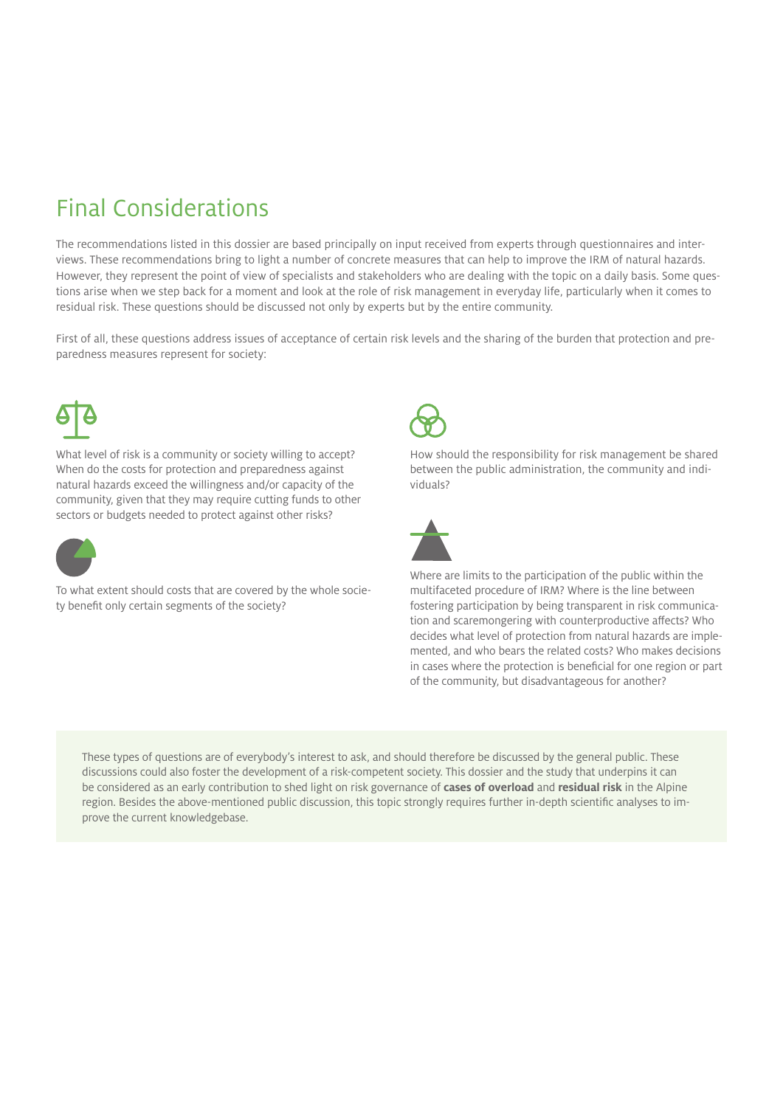## Final Considerations

The recommendations listed in this dossier are based principally on input received from experts through questionnaires and interviews. These recommendations bring to light a number of concrete measures that can help to improve the IRM of natural hazards. However, they represent the point of view of specialists and stakeholders who are dealing with the topic on a daily basis. Some questions arise when we step back for a moment and look at the role of risk management in everyday life, particularly when it comes to residual risk. These questions should be discussed not only by experts but by the entire community.

First of all, these questions address issues of acceptance of certain risk levels and the sharing of the burden that protection and preparedness measures represent for society:



What level of risk is a community or society willing to accept? When do the costs for protection and preparedness against natural hazards exceed the willingness and/or capacity of the community, given that they may require cutting funds to other sectors or budgets needed to protect against other risks?



To what extent should costs that are covered by the whole society benefit only certain segments of the society?



How should the responsibility for risk management be shared between the public administration, the community and individuals?



Where are limits to the participation of the public within the multifaceted procedure of IRM? Where is the line between fostering participation by being transparent in risk communication and scaremongering with counterproductive affects? Who decides what level of protection from natural hazards are implemented, and who bears the related costs? Who makes decisions in cases where the protection is beneficial for one region or part of the community, but disadvantageous for another?

These types of questions are of everybody's interest to ask, and should therefore be discussed by the general public. These discussions could also foster the development of a risk-competent society. This dossier and the study that underpins it can be considered as an early contribution to shed light on risk governance of **cases of overload** and **residual risk** in the Alpine region. Besides the above-mentioned public discussion, this topic strongly requires further in-depth scientific analyses to improve the current knowledgebase.